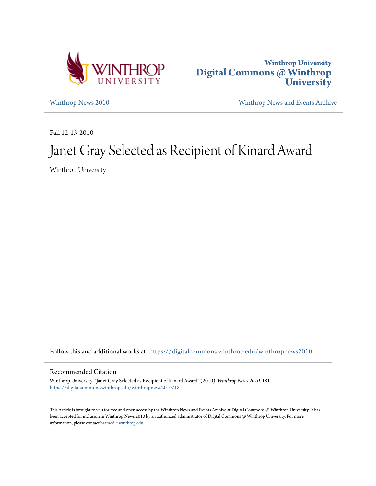



[Winthrop News 2010](https://digitalcommons.winthrop.edu/winthropnews2010?utm_source=digitalcommons.winthrop.edu%2Fwinthropnews2010%2F181&utm_medium=PDF&utm_campaign=PDFCoverPages) [Winthrop News and Events Archive](https://digitalcommons.winthrop.edu/winthropnewsarchives?utm_source=digitalcommons.winthrop.edu%2Fwinthropnews2010%2F181&utm_medium=PDF&utm_campaign=PDFCoverPages)

Fall 12-13-2010

# Janet Gray Selected as Recipient of Kinard Award

Winthrop University

Follow this and additional works at: [https://digitalcommons.winthrop.edu/winthropnews2010](https://digitalcommons.winthrop.edu/winthropnews2010?utm_source=digitalcommons.winthrop.edu%2Fwinthropnews2010%2F181&utm_medium=PDF&utm_campaign=PDFCoverPages)

### Recommended Citation

Winthrop University, "Janet Gray Selected as Recipient of Kinard Award" (2010). *Winthrop News 2010*. 181. [https://digitalcommons.winthrop.edu/winthropnews2010/181](https://digitalcommons.winthrop.edu/winthropnews2010/181?utm_source=digitalcommons.winthrop.edu%2Fwinthropnews2010%2F181&utm_medium=PDF&utm_campaign=PDFCoverPages)

This Article is brought to you for free and open access by the Winthrop News and Events Archive at Digital Commons @ Winthrop University. It has been accepted for inclusion in Winthrop News 2010 by an authorized administrator of Digital Commons @ Winthrop University. For more information, please contact [bramed@winthrop.edu](mailto:bramed@winthrop.edu).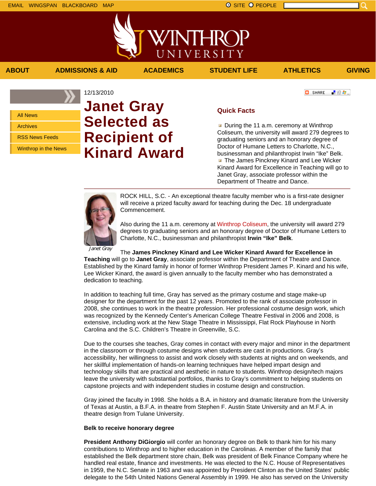上帝与

**C** SHARE

All News Archives

RSS News Feeds

Winthrop in the News

# **Janet Gray Selected as Recipient of Kinard Award**

## **Quick Facts**

**ABOUT ADMISSIONS & AID ACADEMICS STUDENT LIFE ATHLETICS GIVING**

VINTHRC

UNIVERSITY

During the 11 a.m. ceremony at Winthrop Coliseum, the university will award 279 degrees to graduating seniors and an honorary degree of Doctor of Humane Letters to Charlotte, N.C., businessman and philanthropist Irwin "Ike" Belk. **The James Pinckney Kinard and Lee Wicker** Kinard Award for Excellence in Teaching will go to Janet Gray, associate professor within the Department of Theatre and Dance.

12/13/2010

ROCK HILL, S.C. - An exceptional theatre faculty member who is a first-rate designer will receive a prized faculty award for teaching during the Dec. 18 undergraduate Commencement.

Also during the 11 a.m. ceremony at Winthrop Coliseum, the university will award 279 degrees to graduating seniors and an honorary degree of Doctor of Humane Letters to Charlotte, N.C., businessman and philanthropist **Irwin "Ike" Belk**.

Janet Gray

The **James Pinckney Kinard and Lee Wicker Kinard Award for Excellence in**

**Teaching** will go to **Janet Gray**, associate professor within the Department of Theatre and Dance. Established by the Kinard family in honor of former Winthrop President James P. Kinard and his wife, Lee Wicker Kinard, the award is given annually to the faculty member who has demonstrated a dedication to teaching.

In addition to teaching full time, Gray has served as the primary costume and stage make-up designer for the department for the past 12 years. Promoted to the rank of associate professor in 2008, she continues to work in the theatre profession. Her professional costume design work, which was recognized by the Kennedy Center's American College Theatre Festival in 2006 and 2008, is extensive, including work at the New Stage Theatre in Mississippi, Flat Rock Playhouse in North Carolina and the S.C. Children's Theatre in Greenville, S.C.

Due to the courses she teaches, Gray comes in contact with every major and minor in the department in the classroom or through costume designs when students are cast in productions. Gray's accessibility, her willingness to assist and work closely with students at nights and on weekends, and her skillful implementation of hands-on learning techniques have helped impart design and technology skills that are practical and aesthetic in nature to students. Winthrop design/tech majors leave the university with substantial portfolios, thanks to Gray's commitment to helping students on capstone projects and with independent studies in costume design and construction.

Gray joined the faculty in 1998. She holds a B.A. in history and dramatic literature from the University of Texas at Austin, a B.F.A. in theatre from Stephen F. Austin State University and an M.F.A. in theatre design from Tulane University.

#### **Belk to receive honorary degree**

**President Anthony DiGiorgio** will confer an honorary degree on Belk to thank him for his many contributions to Winthrop and to higher education in the Carolinas. A member of the family that established the Belk department store chain, Belk was president of Belk Finance Company where he handled real estate, finance and investments. He was elected to the N.C. House of Representatives in 1959, the N.C. Senate in 1963 and was appointed by President Clinton as the United States' public delegate to the 54th United Nations General Assembly in 1999. He also has served on the University